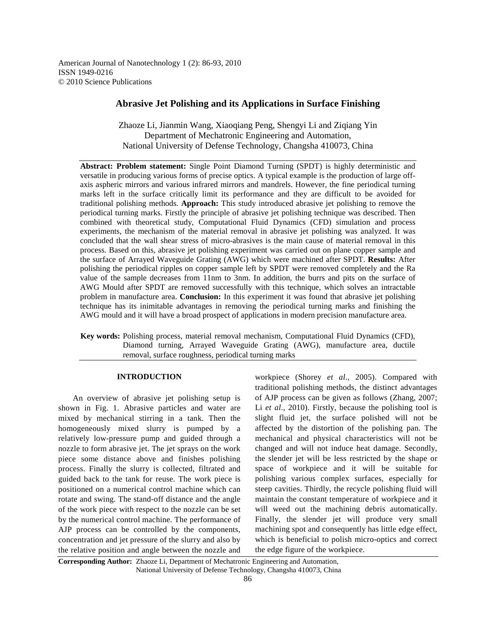American Journal of Nanotechnology 1 (2): 86-93, 2010 ISSN 1949-0216 © 2010 Science Publications

# **Abrasive Jet Polishing and its Applications in Surface Finishing**

Zhaoze Li, Jianmin Wang, Xiaoqiang Peng, Shengyi Li and Ziqiang Yin Department of Mechatronic Engineering and Automation, National University of Defense Technology, Changsha 410073, China

**Abstract: Problem statement:** Single Point Diamond Turning (SPDT) is highly deterministic and versatile in producing various forms of precise optics. A typical example is the production of large offaxis aspheric mirrors and various infrared mirrors and mandrels. However, the fine periodical turning marks left in the surface critically limit its performance and they are difficult to be avoided for traditional polishing methods. **Approach:** This study introduced abrasive jet polishing to remove the periodical turning marks. Firstly the principle of abrasive jet polishing technique was described. Then combined with theoretical study, Computational Fluid Dynamics (CFD) simulation and process experiments, the mechanism of the material removal in abrasive jet polishing was analyzed. It was concluded that the wall shear stress of micro-abrasives is the main cause of material removal in this process. Based on this, abrasive jet polishing experiment was carried out on plane copper sample and the surface of Arrayed Waveguide Grating (AWG) which were machined after SPDT. **Results:** After polishing the periodical ripples on copper sample left by SPDT were removed completely and the Ra value of the sample decreases from 11nm to 3nm. In addition, the burrs and pits on the surface of AWG Mould after SPDT are removed successfully with this technique, which solves an intractable problem in manufacture area. **Conclusion:** In this experiment it was found that abrasive jet polishing technique has its inimitable advantages in removing the periodical turning marks and finishing the AWG mould and it will have a broad prospect of applications in modern precision manufacture area.

**Key words:** Polishing process, material removal mechanism, Computational Fluid Dynamics (CFD), Diamond turning, Arrayed Waveguide Grating (AWG), manufacture area, ductile removal, surface roughness, periodical turning marks

# **INTRODUCTION**

 An overview of abrasive jet polishing setup is shown in Fig. 1. Abrasive particles and water are mixed by mechanical stirring in a tank. Then the homogeneously mixed slurry is pumped by a relatively low-pressure pump and guided through a nozzle to form abrasive jet. The jet sprays on the work piece some distance above and finishes polishing process. Finally the slurry is collected, filtrated and guided back to the tank for reuse. The work piece is positioned on a numerical control machine which can rotate and swing. The stand-off distance and the angle of the work piece with respect to the nozzle can be set by the numerical control machine. The performance of AJP process can be controlled by the components, concentration and jet pressure of the slurry and also by the relative position and angle between the nozzle and workpiece (Shorey *et al*., 2005). Compared with traditional polishing methods, the distinct advantages of AJP process can be given as follows (Zhang, 2007; Li *et al*., 2010). Firstly, because the polishing tool is slight fluid jet, the surface polished will not be affected by the distortion of the polishing pan. The mechanical and physical characteristics will not be changed and will not induce heat damage. Secondly, the slender jet will be less restricted by the shape or space of workpiece and it will be suitable for polishing various complex surfaces, especially for steep cavities. Thirdly, the recycle polishing fluid will maintain the constant temperature of workpiece and it will weed out the machining debris automatically. Finally, the slender jet will produce very small machining spot and consequently has little edge effect, which is beneficial to polish micro-optics and correct the edge figure of the workpiece.

**Corresponding Author:** Zhaoze Li, Department of Mechatronic Engineering and Automation, National University of Defense Technology, Changsha 410073, China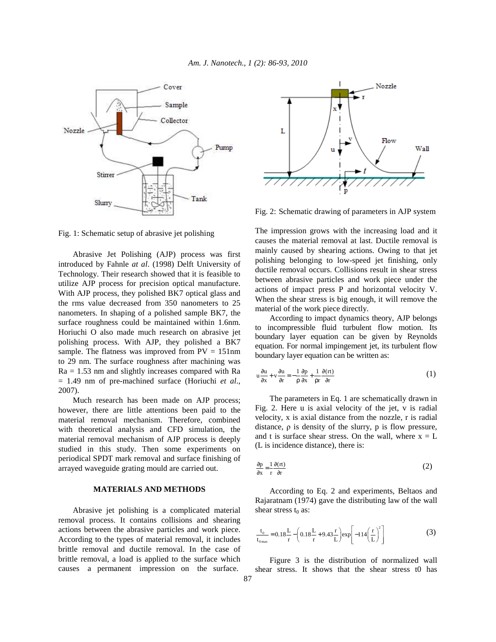

Fig. 1: Schematic setup of abrasive jet polishing

 Abrasive Jet Polishing (AJP) process was first introduced by Fahnle *at al*. (1998) Delft University of Technology. Their research showed that it is feasible to utilize AJP process for precision optical manufacture. With AJP process, they polished BK7 optical glass and the rms value decreased from 350 nanometers to 25 nanometers. In shaping of a polished sample BK7, the surface roughness could be maintained within 1.6nm. Horiuchi O also made much research on abrasive jet polishing process. With AJP, they polished a BK7 sample. The flatness was improved from  $PV = 151$ nm to 29 nm. The surface roughness after machining was  $Ra = 1.53$  nm and slightly increases compared with Ra = 1.49 nm of pre-machined surface (Horiuchi *et al*., 2007).

 Much research has been made on AJP process; however, there are little attentions been paid to the material removal mechanism. Therefore, combined with theoretical analysis and CFD simulation, the material removal mechanism of AJP process is deeply studied in this study. Then some experiments on periodical SPDT mark removal and surface finishing of arrayed waveguide grating mould are carried out.

# **MATERIALS AND METHODS**

 Abrasive jet polishing is a complicated material removal process. It contains collisions and shearing actions between the abrasive particles and work piece. According to the types of material removal, it includes brittle removal and ductile removal. In the case of brittle removal, a load is applied to the surface which causes a permanent impression on the surface.



Fig. 2: Schematic drawing of parameters in AJP system

The impression grows with the increasing load and it causes the material removal at last. Ductile removal is mainly caused by shearing actions. Owing to that jet polishing belonging to low-speed jet finishing, only ductile removal occurs. Collisions result in shear stress between abrasive particles and work piece under the actions of impact press P and horizontal velocity V. When the shear stress is big enough, it will remove the material of the work piece directly.

 According to impact dynamics theory, AJP belongs to incompressible fluid turbulent flow motion. Its boundary layer equation can be given by Reynolds equation. For normal impingement jet, its turbulent flow boundary layer equation can be written as:

$$
u\frac{\partial u}{\partial x} + v\frac{\partial u}{\partial r} = -\frac{1}{\rho}\frac{\partial p}{\partial x} + \frac{1}{\rho r}\frac{\partial (rt)}{\partial r}
$$
 (1)

 The parameters in Eq. 1 are schematically drawn in Fig. 2. Here u is axial velocity of the jet, v is radial velocity, x is axial distance from the nozzle, r is radial distance,  $\rho$  is density of the slurry,  $p$  is flow pressure, and t is surface shear stress. On the wall, where  $x = L$ (L is incidence distance), there is:

$$
\frac{\partial p}{\partial x} = \frac{1}{r} \frac{\partial (rt)}{\partial r}
$$
 (2)

 According to Eq. 2 and experiments, Beltaos and Rajaratnam (1974) gave the distributing law of the wall shear stress  $t_0$  as:

$$
\frac{t_0}{t_{0max}} = 0.18 \frac{L}{r} - \left(0.18 \frac{L}{r} + 9.43 \frac{r}{L}\right) \exp\left[-114\left(\frac{r}{L}\right)^2\right]
$$
(3)

 Figure 3 is the distribution of normalized wall shear stress. It shows that the shear stress t0 has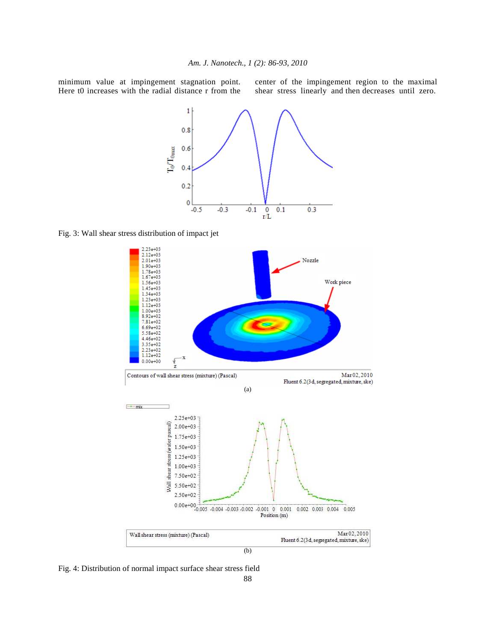minimum value at impingement stagnation point. Here t0 increases with the radial distance r from the center of the impingement region to the maximal shear stress linearly and then decreases until zero.



Fig. 3: Wall shear stress distribution of impact jet



Fig. 4: Distribution of normal impact surface shear stress field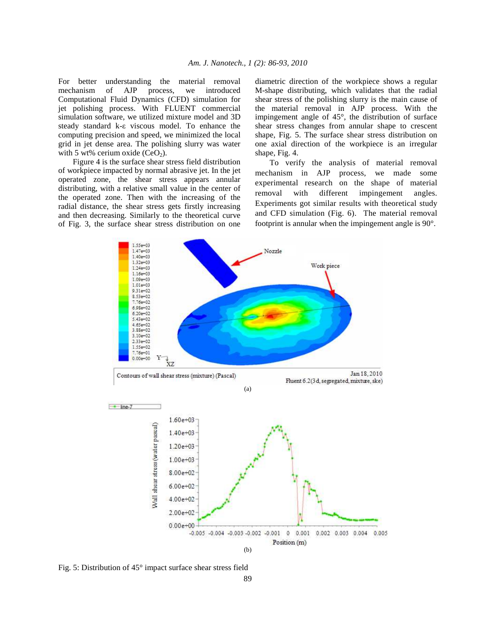For better understanding the material removal mechanism of AJP process, we introduced Computational Fluid Dynamics (CFD) simulation for jet polishing process. With FLUENT commercial simulation software, we utilized mixture model and 3D steady standard k-ε viscous model. To enhance the computing precision and speed, we minimized the local grid in jet dense area. The polishing slurry was water with 5 wt% cerium oxide  $(CeO<sub>2</sub>)$ .

 Figure 4 is the surface shear stress field distribution of workpiece impacted by normal abrasive jet. In the jet operated zone, the shear stress appears annular distributing, with a relative small value in the center of the operated zone. Then with the increasing of the radial distance, the shear stress gets firstly increasing and then decreasing. Similarly to the theoretical curve of Fig. 3, the surface shear stress distribution on one diametric direction of the workpiece shows a regular M-shape distributing, which validates that the radial shear stress of the polishing slurry is the main cause of the material removal in AJP process. With the impingement angle of 45°, the distribution of surface shear stress changes from annular shape to crescent shape, Fig. 5. The surface shear stress distribution on one axial direction of the workpiece is an irregular shape, Fig. 4.

 To verify the analysis of material removal mechanism in AJP process, we made some experimental research on the shape of material removal with different impingement angles. Experiments got similar results with theoretical study and CFD simulation (Fig. 6). The material removal footprint is annular when the impingement angle is 90°.



Fig. 5: Distribution of 45° impact surface shear stress field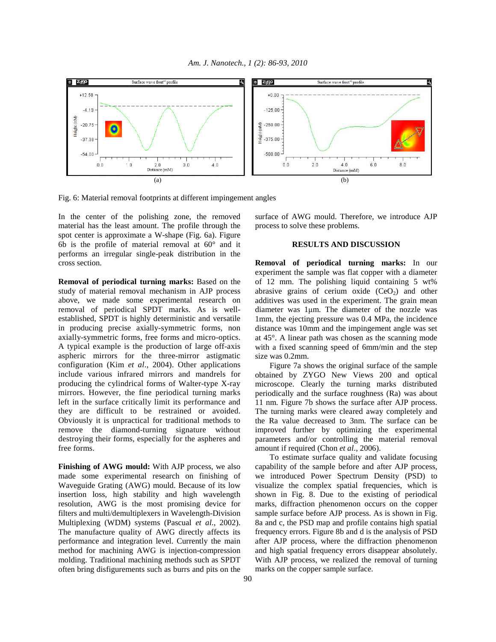

Fig. 6: Material removal footprints at different impingement angles

In the center of the polishing zone, the removed material has the least amount. The profile through the spot center is approximate a W-shape (Fig. 6a). Figure 6b is the profile of material removal at 60° and it performs an irregular single-peak distribution in the cross section.

**Removal of periodical turning marks:** Based on the study of material removal mechanism in AJP process above, we made some experimental research on removal of periodical SPDT marks. As is wellestablished, SPDT is highly deterministic and versatile in producing precise axially-symmetric forms, non axially-symmetric forms, free forms and micro-optics. A typical example is the production of large off-axis aspheric mirrors for the three-mirror astigmatic configuration (Kim *et al*., 2004). Other applications include various infrared mirrors and mandrels for producing the cylindrical forms of Walter-type X-ray mirrors. However, the fine periodical turning marks left in the surface critically limit its performance and they are difficult to be restrained or avoided. Obviously it is unpractical for traditional methods to remove the diamond-turning signature without destroying their forms, especially for the aspheres and free forms.

**Finishing of AWG mould:** With AJP process, we also made some experimental research on finishing of Waveguide Grating (AWG) mould. Because of its low insertion loss, high stability and high wavelength resolution, AWG is the most promising device for filters and multi/demultiplexers in Wavelength-Division Multiplexing (WDM) systems (Pascual *et al*., 2002). The manufacture quality of AWG directly affects its performance and integration level. Currently the main method for machining AWG is injection-compression molding. Traditional machining methods such as SPDT often bring disfigurements such as burrs and pits on the

surface of AWG mould. Therefore, we introduce AJP process to solve these problems.

# **RESULTS AND DISCUSSION**

**Removal of periodical turning marks:** In our experiment the sample was flat copper with a diameter of 12 mm. The polishing liquid containing 5 wt% abrasive grains of cerium oxide  $(CeO<sub>2</sub>)$  and other additives was used in the experiment. The grain mean diameter was 1µm. The diameter of the nozzle was 1mm, the ejecting pressure was 0.4 MPa, the incidence distance was 10mm and the impingement angle was set at 45°. A linear path was chosen as the scanning mode with a fixed scanning speed of 6mm/min and the step size was 0.2mm.

 Figure 7a shows the original surface of the sample obtained by ZYGO New Views 200 and optical microscope. Clearly the turning marks distributed periodically and the surface roughness (Ra) was about 11 nm. Figure 7b shows the surface after AJP process. The turning marks were cleared away completely and the Ra value decreased to 3nm. The surface can be improved further by optimizing the experimental parameters and/or controlling the material removal amount if required (Chon *et al*., 2006).

 To estimate surface quality and validate focusing capability of the sample before and after AJP process, we introduced Power Spectrum Density (PSD) to visualize the complex spatial frequencies, which is shown in Fig. 8. Due to the existing of periodical marks, diffraction phenomenon occurs on the copper sample surface before AJP process. As is shown in Fig. 8a and c, the PSD map and profile contains high spatial frequency errors. Figure 8b and d is the analysis of PSD after AJP process, where the diffraction phenomenon and high spatial frequency errors disappear absolutely. With AJP process, we realized the removal of turning marks on the copper sample surface.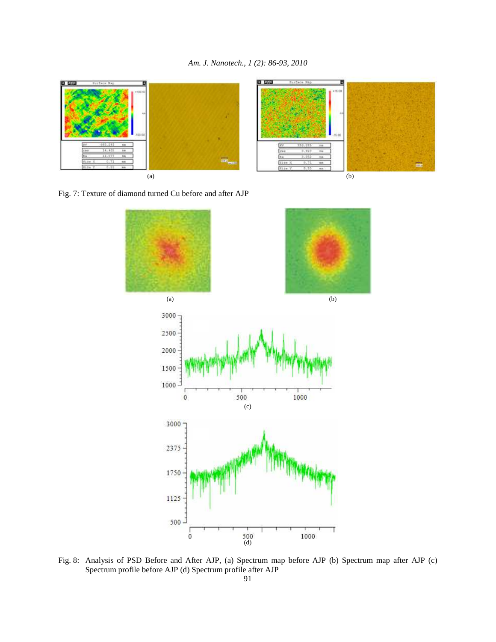

Fig. 7: Texture of diamond turned Cu before and after AJP



Fig. 8: Analysis of PSD Before and After AJP, (a) Spectrum map before AJP (b) Spectrum map after AJP (c) Spectrum profile before AJP (d) Spectrum profile after AJP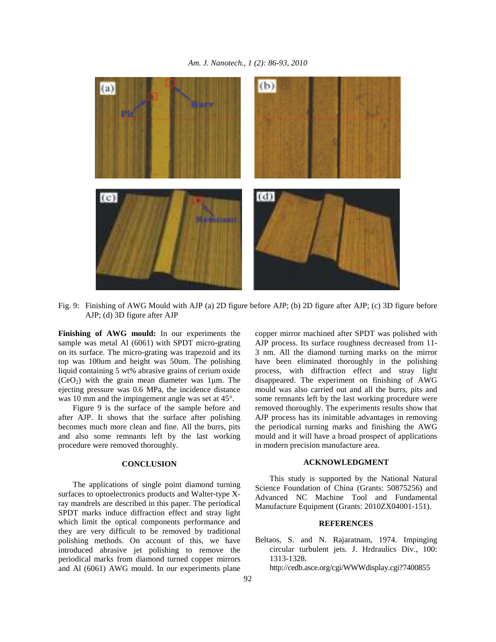

Fig. 9: Finishing of AWG Mould with AJP (a) 2D figure before AJP; (b) 2D figure after AJP; (c) 3D figure before AJP; (d) 3D figure after AJP

**Finishing of AWG mould:** In our experiments the sample was metal Al (6061) with SPDT micro-grating on its surface. The micro-grating was trapezoid and its top was 100um and height was 50um. The polishing liquid containing 5 wt% abrasive grains of cerium oxide  $(CeO<sub>2</sub>)$  with the grain mean diameter was 1 $\mu$ m. The ejecting pressure was 0.6 MPa, the incidence distance was 10 mm and the impingement angle was set at 45°.

 Figure 9 is the surface of the sample before and after AJP. It shows that the surface after polishing becomes much more clean and fine. All the burrs, pits and also some remnants left by the last working procedure were removed thoroughly.

### **CONCLUSION**

 The applications of single point diamond turning surfaces to optoelectronics products and Walter-type Xray mandrels are described in this paper. The periodical SPDT marks induce diffraction effect and stray light which limit the optical components performance and they are very difficult to be removed by traditional polishing methods. On account of this, we have introduced abrasive jet polishing to remove the periodical marks from diamond turned copper mirrors and Al (6061) AWG mould. In our experiments plane

copper mirror machined after SPDT was polished with AJP process. Its surface roughness decreased from 11- 3 nm. All the diamond turning marks on the mirror have been eliminated thoroughly in the polishing process, with diffraction effect and stray light disappeared. The experiment on finishing of AWG mould was also carried out and all the burrs, pits and some remnants left by the last working procedure were removed thoroughly. The experiments results show that AJP process has its inimitable advantages in removing the periodical turning marks and finishing the AWG mould and it will have a broad prospect of applications in modern precision manufacture area.

#### **ACKNOWLEDGMENT**

 This study is supported by the National Natural Science Foundation of China (Grants: 50875256) and Advanced NC Machine Tool and Fundamental Manufacture Equipment (Grants: 2010ZX04001-151).

# **REFERENCES**

Beltaos, S. and N. Rajaratnam, 1974. Impinging circular turbulent jets. J. Hrdraulics Div., 100: 1313-1328.

http://cedb.asce.org/cgi/WWWdisplay.cgi?7400855